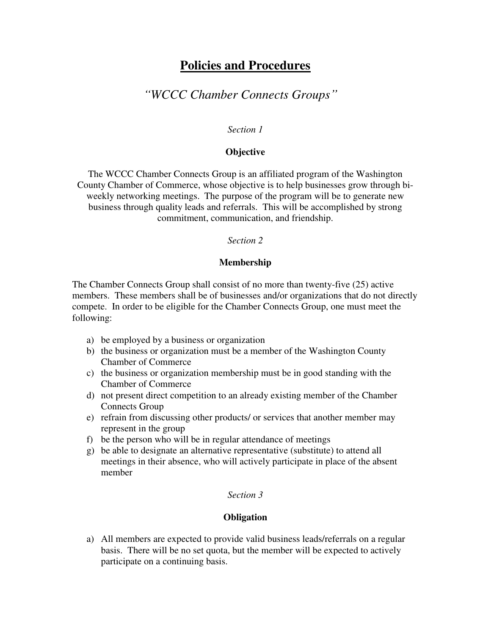# **Policies and Procedures**

# *"WCCC Chamber Connects Groups"*

#### *Section 1*

#### **Objective**

The WCCC Chamber Connects Group is an affiliated program of the Washington County Chamber of Commerce, whose objective is to help businesses grow through biweekly networking meetings. The purpose of the program will be to generate new business through quality leads and referrals. This will be accomplished by strong commitment, communication, and friendship.

#### *Section 2*

#### **Membership**

The Chamber Connects Group shall consist of no more than twenty-five (25) active members. These members shall be of businesses and/or organizations that do not directly compete. In order to be eligible for the Chamber Connects Group, one must meet the following:

- a) be employed by a business or organization
- b) the business or organization must be a member of the Washington County Chamber of Commerce
- c) the business or organization membership must be in good standing with the Chamber of Commerce
- d) not present direct competition to an already existing member of the Chamber Connects Group
- e) refrain from discussing other products/ or services that another member may represent in the group
- f) be the person who will be in regular attendance of meetings
- g) be able to designate an alternative representative (substitute) to attend all meetings in their absence, who will actively participate in place of the absent member

#### *Section 3*

## **Obligation**

a) All members are expected to provide valid business leads/referrals on a regular basis. There will be no set quota, but the member will be expected to actively participate on a continuing basis.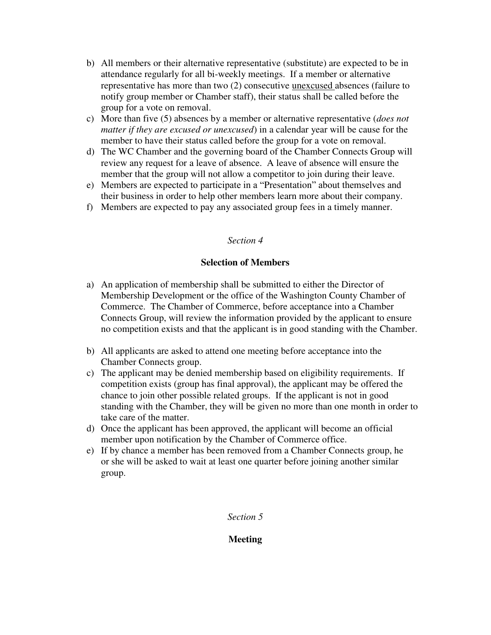- b) All members or their alternative representative (substitute) are expected to be in attendance regularly for all bi-weekly meetings. If a member or alternative representative has more than two (2) consecutive unexcused absences (failure to notify group member or Chamber staff), their status shall be called before the group for a vote on removal.
- c) More than five (5) absences by a member or alternative representative (*does not matter if they are excused or unexcused*) in a calendar year will be cause for the member to have their status called before the group for a vote on removal.
- d) The WC Chamber and the governing board of the Chamber Connects Group will review any request for a leave of absence. A leave of absence will ensure the member that the group will not allow a competitor to join during their leave.
- e) Members are expected to participate in a "Presentation" about themselves and their business in order to help other members learn more about their company.
- f) Members are expected to pay any associated group fees in a timely manner.

## *Section 4*

## **Selection of Members**

- a) An application of membership shall be submitted to either the Director of Membership Development or the office of the Washington County Chamber of Commerce. The Chamber of Commerce, before acceptance into a Chamber Connects Group, will review the information provided by the applicant to ensure no competition exists and that the applicant is in good standing with the Chamber.
- b) All applicants are asked to attend one meeting before acceptance into the Chamber Connects group.
- c) The applicant may be denied membership based on eligibility requirements. If competition exists (group has final approval), the applicant may be offered the chance to join other possible related groups. If the applicant is not in good standing with the Chamber, they will be given no more than one month in order to take care of the matter.
- d) Once the applicant has been approved, the applicant will become an official member upon notification by the Chamber of Commerce office.
- e) If by chance a member has been removed from a Chamber Connects group, he or she will be asked to wait at least one quarter before joining another similar group.

## *Section 5*

## **Meeting**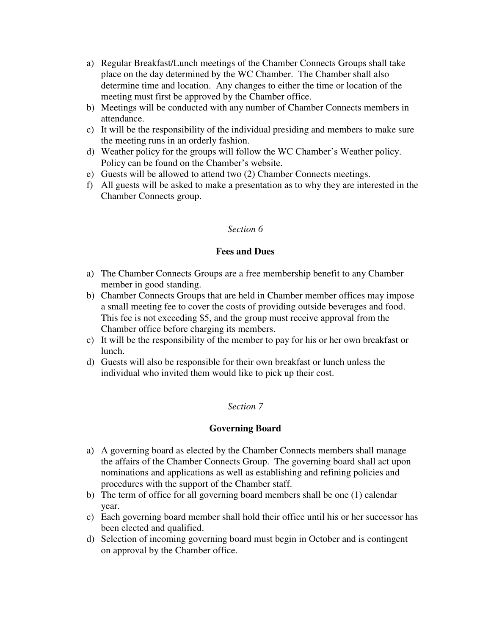- a) Regular Breakfast/Lunch meetings of the Chamber Connects Groups shall take place on the day determined by the WC Chamber. The Chamber shall also determine time and location. Any changes to either the time or location of the meeting must first be approved by the Chamber office.
- b) Meetings will be conducted with any number of Chamber Connects members in attendance.
- c) It will be the responsibility of the individual presiding and members to make sure the meeting runs in an orderly fashion.
- d) Weather policy for the groups will follow the WC Chamber's Weather policy. Policy can be found on the Chamber's website.
- e) Guests will be allowed to attend two (2) Chamber Connects meetings.
- f) All guests will be asked to make a presentation as to why they are interested in the Chamber Connects group.

## *Section 6*

## **Fees and Dues**

- a) The Chamber Connects Groups are a free membership benefit to any Chamber member in good standing.
- b) Chamber Connects Groups that are held in Chamber member offices may impose a small meeting fee to cover the costs of providing outside beverages and food. This fee is not exceeding \$5, and the group must receive approval from the Chamber office before charging its members.
- c) It will be the responsibility of the member to pay for his or her own breakfast or lunch.
- d) Guests will also be responsible for their own breakfast or lunch unless the individual who invited them would like to pick up their cost.

## *Section 7*

## **Governing Board**

- a) A governing board as elected by the Chamber Connects members shall manage the affairs of the Chamber Connects Group. The governing board shall act upon nominations and applications as well as establishing and refining policies and procedures with the support of the Chamber staff.
- b) The term of office for all governing board members shall be one (1) calendar year.
- c) Each governing board member shall hold their office until his or her successor has been elected and qualified.
- d) Selection of incoming governing board must begin in October and is contingent on approval by the Chamber office.